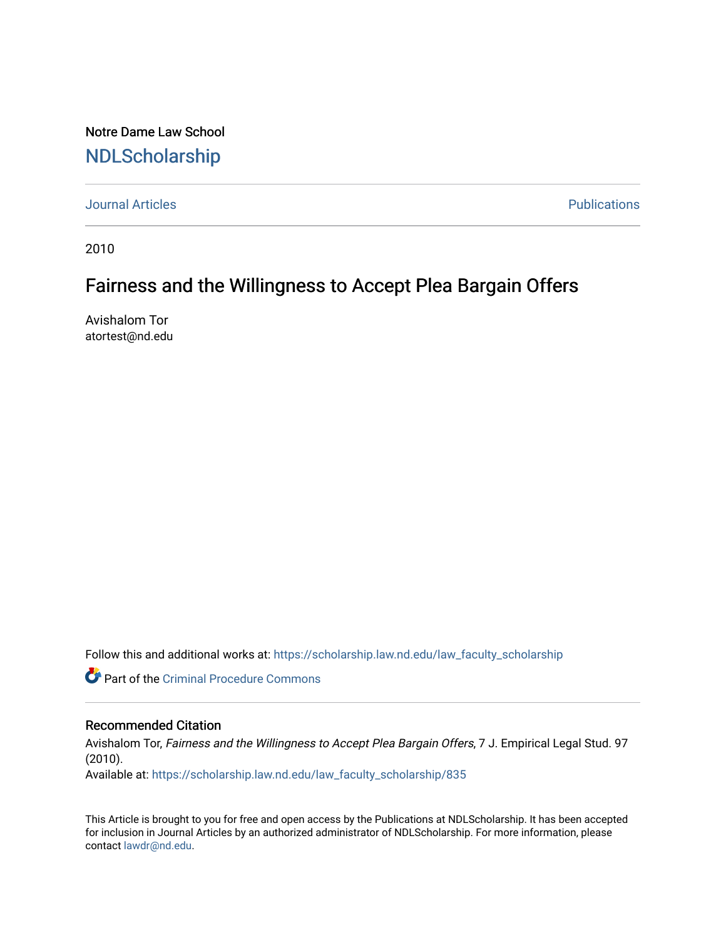# Notre Dame Law School [NDLScholarship](https://scholarship.law.nd.edu/)

**Journal Articles Publications** 

2010

# Fairness and the Willingness to Accept Plea Bargain Offers

Avishalom Tor atortest@nd.edu

Follow this and additional works at: [https://scholarship.law.nd.edu/law\\_faculty\\_scholarship](https://scholarship.law.nd.edu/law_faculty_scholarship?utm_source=scholarship.law.nd.edu%2Flaw_faculty_scholarship%2F835&utm_medium=PDF&utm_campaign=PDFCoverPages)

**Part of the Criminal Procedure Commons** 

## Recommended Citation

Avishalom Tor, Fairness and the Willingness to Accept Plea Bargain Offers, 7 J. Empirical Legal Stud. 97 (2010).

Available at: [https://scholarship.law.nd.edu/law\\_faculty\\_scholarship/835](https://scholarship.law.nd.edu/law_faculty_scholarship/835?utm_source=scholarship.law.nd.edu%2Flaw_faculty_scholarship%2F835&utm_medium=PDF&utm_campaign=PDFCoverPages) 

This Article is brought to you for free and open access by the Publications at NDLScholarship. It has been accepted for inclusion in Journal Articles by an authorized administrator of NDLScholarship. For more information, please contact [lawdr@nd.edu.](mailto:lawdr@nd.edu)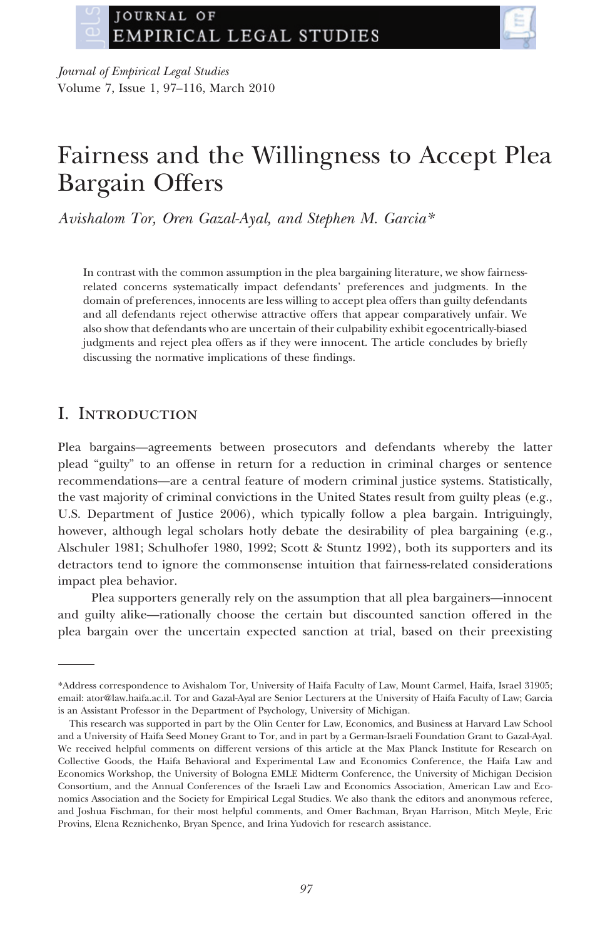

*Journal of Empirical Legal Studies* Volume 7, Issue 1, 97–116, March 2010

# Fairness and the Willingness to Accept Plea Bargain Offers

*Avishalom Tor, Oren Gazal-Ayal, and Stephen M. Garcia\**

In contrast with the common assumption in the plea bargaining literature, we show fairnessrelated concerns systematically impact defendants' preferences and judgments. In the domain of preferences, innocents are less willing to accept plea offers than guilty defendants and all defendants reject otherwise attractive offers that appear comparatively unfair. We also show that defendants who are uncertain of their culpability exhibit egocentrically-biased judgments and reject plea offers as if they were innocent. The article concludes by briefly discussing the normative implications of these findings.

# I. Introduction

Plea bargains—agreements between prosecutors and defendants whereby the latter plead "guilty" to an offense in return for a reduction in criminal charges or sentence recommendations—are a central feature of modern criminal justice systems. Statistically, the vast majority of criminal convictions in the United States result from guilty pleas (e.g., U.S. Department of Justice 2006), which typically follow a plea bargain. Intriguingly, however, although legal scholars hotly debate the desirability of plea bargaining (e.g., Alschuler 1981; Schulhofer 1980, 1992; Scott & Stuntz 1992), both its supporters and its detractors tend to ignore the commonsense intuition that fairness-related considerations impact plea behavior.

Plea supporters generally rely on the assumption that all plea bargainers—innocent and guilty alike—rationally choose the certain but discounted sanction offered in the plea bargain over the uncertain expected sanction at trial, based on their preexisting

<sup>\*</sup>Address correspondence to Avishalom Tor, University of Haifa Faculty of Law, Mount Carmel, Haifa, Israel 31905; email: ator@law.haifa.ac.il. Tor and Gazal-Ayal are Senior Lecturers at the University of Haifa Faculty of Law; Garcia is an Assistant Professor in the Department of Psychology, University of Michigan.

This research was supported in part by the Olin Center for Law, Economics, and Business at Harvard Law School and a University of Haifa Seed Money Grant to Tor, and in part by a German-Israeli Foundation Grant to Gazal-Ayal. We received helpful comments on different versions of this article at the Max Planck Institute for Research on Collective Goods, the Haifa Behavioral and Experimental Law and Economics Conference, the Haifa Law and Economics Workshop, the University of Bologna EMLE Midterm Conference, the University of Michigan Decision Consortium, and the Annual Conferences of the Israeli Law and Economics Association, American Law and Economics Association and the Society for Empirical Legal Studies. We also thank the editors and anonymous referee, and Joshua Fischman, for their most helpful comments, and Omer Bachman, Bryan Harrison, Mitch Meyle, Eric Provins, Elena Reznichenko, Bryan Spence, and Irina Yudovich for research assistance.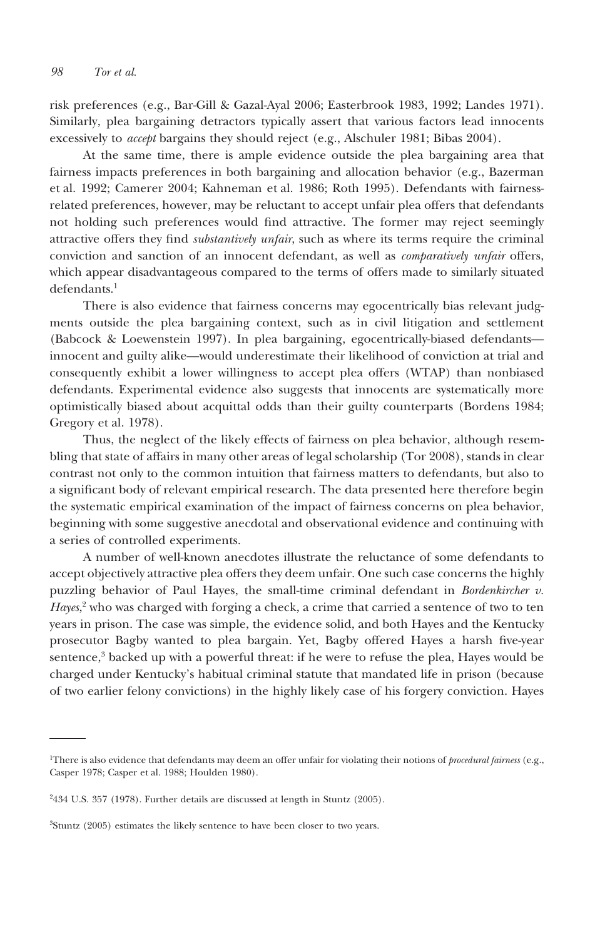risk preferences (e.g., Bar-Gill & Gazal-Ayal 2006; Easterbrook 1983, 1992; Landes 1971). Similarly, plea bargaining detractors typically assert that various factors lead innocents excessively to *accept* bargains they should reject (e.g., Alschuler 1981; Bibas 2004).

At the same time, there is ample evidence outside the plea bargaining area that fairness impacts preferences in both bargaining and allocation behavior (e.g., Bazerman et al. 1992; Camerer 2004; Kahneman et al. 1986; Roth 1995). Defendants with fairnessrelated preferences, however, may be reluctant to accept unfair plea offers that defendants not holding such preferences would find attractive. The former may reject seemingly attractive offers they find *substantively unfair*, such as where its terms require the criminal conviction and sanction of an innocent defendant, as well as *comparatively unfair* offers, which appear disadvantageous compared to the terms of offers made to similarly situated  $defendants.<sup>1</sup>$ 

There is also evidence that fairness concerns may egocentrically bias relevant judgments outside the plea bargaining context, such as in civil litigation and settlement (Babcock & Loewenstein 1997). In plea bargaining, egocentrically-biased defendants innocent and guilty alike—would underestimate their likelihood of conviction at trial and consequently exhibit a lower willingness to accept plea offers (WTAP) than nonbiased defendants. Experimental evidence also suggests that innocents are systematically more optimistically biased about acquittal odds than their guilty counterparts (Bordens 1984; Gregory et al. 1978).

Thus, the neglect of the likely effects of fairness on plea behavior, although resembling that state of affairs in many other areas of legal scholarship (Tor 2008), stands in clear contrast not only to the common intuition that fairness matters to defendants, but also to a significant body of relevant empirical research. The data presented here therefore begin the systematic empirical examination of the impact of fairness concerns on plea behavior, beginning with some suggestive anecdotal and observational evidence and continuing with a series of controlled experiments.

A number of well-known anecdotes illustrate the reluctance of some defendants to accept objectively attractive plea offers they deem unfair. One such case concerns the highly puzzling behavior of Paul Hayes, the small-time criminal defendant in *Bordenkircher v. Hayes*, <sup>2</sup> who was charged with forging a check, a crime that carried a sentence of two to ten years in prison. The case was simple, the evidence solid, and both Hayes and the Kentucky prosecutor Bagby wanted to plea bargain. Yet, Bagby offered Hayes a harsh five-year sentence, $3$  backed up with a powerful threat: if he were to refuse the plea, Hayes would be charged under Kentucky's habitual criminal statute that mandated life in prison (because of two earlier felony convictions) in the highly likely case of his forgery conviction. Hayes

<sup>1</sup> There is also evidence that defendants may deem an offer unfair for violating their notions of *procedural fairness* (e.g., Casper 1978; Casper et al. 1988; Houlden 1980).

<sup>2</sup> 434 U.S. 357 (1978). Further details are discussed at length in Stuntz (2005).

<sup>&</sup>lt;sup>3</sup>Stuntz (2005) estimates the likely sentence to have been closer to two years.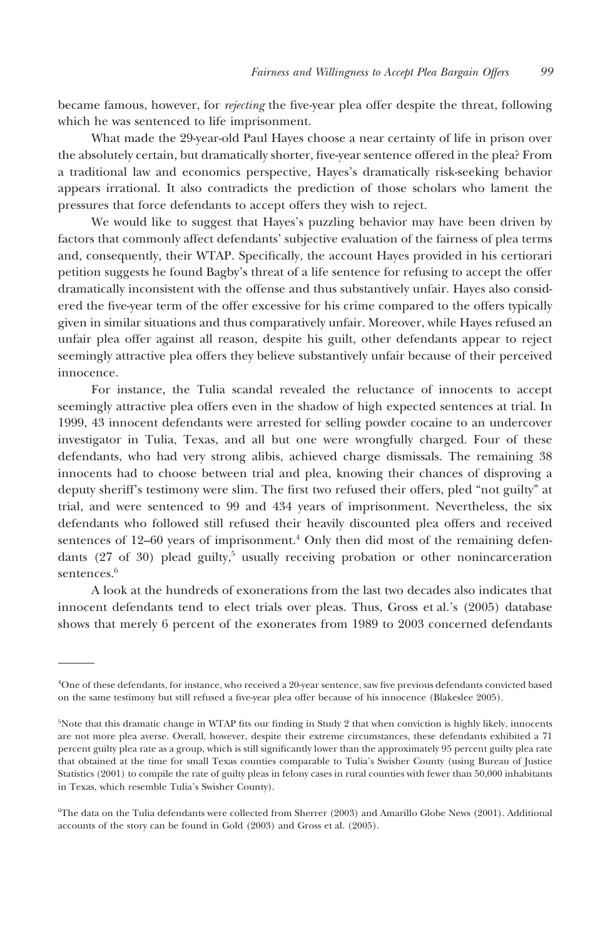became famous, however, for *rejecting* the five-year plea offer despite the threat, following which he was sentenced to life imprisonment.

What made the 29-year-old Paul Hayes choose a near certainty of life in prison over the absolutely certain, but dramatically shorter, five-year sentence offered in the plea? From a traditional law and economics perspective, Hayes's dramatically risk-seeking behavior appears irrational. It also contradicts the prediction of those scholars who lament the pressures that force defendants to accept offers they wish to reject.

We would like to suggest that Hayes's puzzling behavior may have been driven by factors that commonly affect defendants' subjective evaluation of the fairness of plea terms and, consequently, their WTAP. Specifically, the account Hayes provided in his certiorari petition suggests he found Bagby's threat of a life sentence for refusing to accept the offer dramatically inconsistent with the offense and thus substantively unfair. Hayes also considered the five-year term of the offer excessive for his crime compared to the offers typically given in similar situations and thus comparatively unfair. Moreover, while Hayes refused an unfair plea offer against all reason, despite his guilt, other defendants appear to reject seemingly attractive plea offers they believe substantively unfair because of their perceived innocence.

For instance, the Tulia scandal revealed the reluctance of innocents to accept seemingly attractive plea offers even in the shadow of high expected sentences at trial. In 1999, 43 innocent defendants were arrested for selling powder cocaine to an undercover investigator in Tulia, Texas, and all but one were wrongfully charged. Four of these defendants, who had very strong alibis, achieved charge dismissals. The remaining 38 innocents had to choose between trial and plea, knowing their chances of disproving a deputy sheriff's testimony were slim. The first two refused their offers, pled "not guilty" at trial, and were sentenced to 99 and 434 years of imprisonment. Nevertheless, the six defendants who followed still refused their heavily discounted plea offers and received sentences of  $12-60$  years of imprisonment.<sup>4</sup> Only then did most of the remaining defendants  $(27 \text{ of } 30)$  plead guilty,<sup>5</sup> usually receiving probation or other nonincarceration sentences<sup>6</sup>

A look at the hundreds of exonerations from the last two decades also indicates that innocent defendants tend to elect trials over pleas. Thus, Gross et al.'s (2005) database shows that merely 6 percent of the exonerates from 1989 to 2003 concerned defendants

<sup>4</sup> One of these defendants, for instance, who received a 20-year sentence, saw five previous defendants convicted based on the same testimony but still refused a five-year plea offer because of his innocence (Blakeslee 2005).

<sup>5</sup> Note that this dramatic change in WTAP fits our finding in Study 2 that when conviction is highly likely, innocents are not more plea averse. Overall, however, despite their extreme circumstances, these defendants exhibited a 71 percent guilty plea rate as a group, which is still significantly lower than the approximately 95 percent guilty plea rate that obtained at the time for small Texas counties comparable to Tulia's Swisher County (using Bureau of Justice Statistics (2001) to compile the rate of guilty pleas in felony cases in rural counties with fewer than 50,000 inhabitants in Texas, which resemble Tulia's Swisher County).

<sup>6</sup> The data on the Tulia defendants were collected from Sherrer (2003) and Amarillo Globe News (2001). Additional accounts of the story can be found in Gold (2003) and Gross et al. (2005).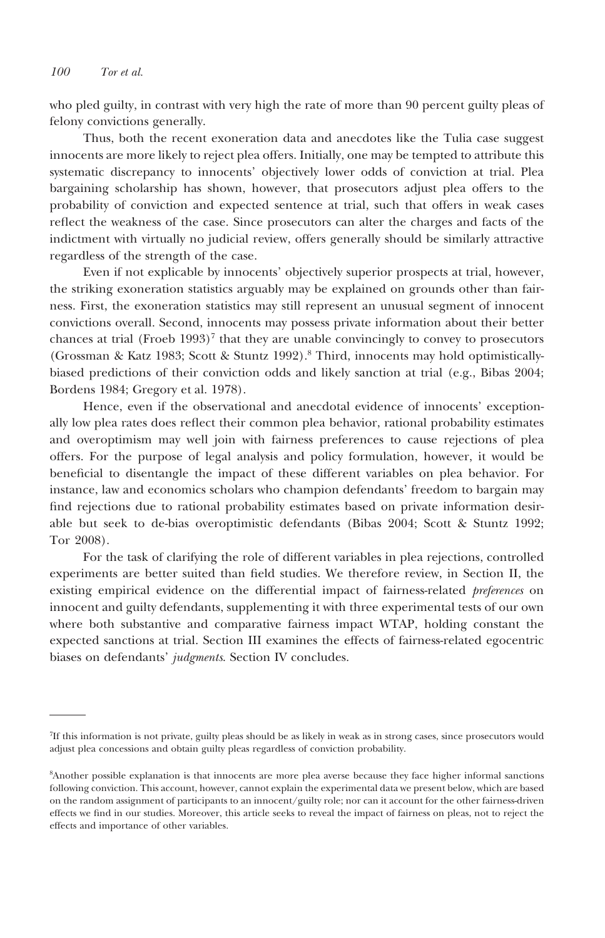who pled guilty, in contrast with very high the rate of more than 90 percent guilty pleas of felony convictions generally.

Thus, both the recent exoneration data and anecdotes like the Tulia case suggest innocents are more likely to reject plea offers. Initially, one may be tempted to attribute this systematic discrepancy to innocents' objectively lower odds of conviction at trial. Plea bargaining scholarship has shown, however, that prosecutors adjust plea offers to the probability of conviction and expected sentence at trial, such that offers in weak cases reflect the weakness of the case. Since prosecutors can alter the charges and facts of the indictment with virtually no judicial review, offers generally should be similarly attractive regardless of the strength of the case.

Even if not explicable by innocents' objectively superior prospects at trial, however, the striking exoneration statistics arguably may be explained on grounds other than fairness. First, the exoneration statistics may still represent an unusual segment of innocent convictions overall. Second, innocents may possess private information about their better chances at trial (Froeb 1993)<sup>7</sup> that they are unable convincingly to convey to prosecutors (Grossman & Katz 1983; Scott & Stuntz 1992).<sup>8</sup> Third, innocents may hold optimisticallybiased predictions of their conviction odds and likely sanction at trial (e.g., Bibas 2004; Bordens 1984; Gregory et al. 1978).

Hence, even if the observational and anecdotal evidence of innocents' exceptionally low plea rates does reflect their common plea behavior, rational probability estimates and overoptimism may well join with fairness preferences to cause rejections of plea offers. For the purpose of legal analysis and policy formulation, however, it would be beneficial to disentangle the impact of these different variables on plea behavior. For instance, law and economics scholars who champion defendants' freedom to bargain may find rejections due to rational probability estimates based on private information desirable but seek to de-bias overoptimistic defendants (Bibas 2004; Scott & Stuntz 1992; Tor 2008).

For the task of clarifying the role of different variables in plea rejections, controlled experiments are better suited than field studies. We therefore review, in Section II, the existing empirical evidence on the differential impact of fairness-related *preferences* on innocent and guilty defendants, supplementing it with three experimental tests of our own where both substantive and comparative fairness impact WTAP, holding constant the expected sanctions at trial. Section III examines the effects of fairness-related egocentric biases on defendants' *judgments*. Section IV concludes.

<sup>7</sup> If this information is not private, guilty pleas should be as likely in weak as in strong cases, since prosecutors would adjust plea concessions and obtain guilty pleas regardless of conviction probability.

<sup>8</sup> Another possible explanation is that innocents are more plea averse because they face higher informal sanctions following conviction. This account, however, cannot explain the experimental data we present below, which are based on the random assignment of participants to an innocent/guilty role; nor can it account for the other fairness-driven effects we find in our studies. Moreover, this article seeks to reveal the impact of fairness on pleas, not to reject the effects and importance of other variables.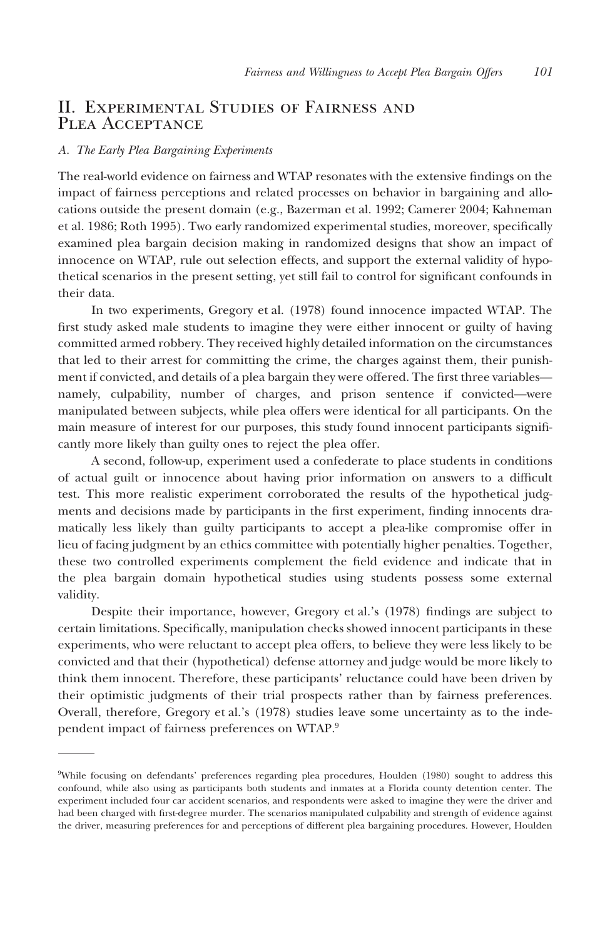## II. Experimental Studies of Fairness and PLEA ACCEPTANCE

### *A. The Early Plea Bargaining Experiments*

The real-world evidence on fairness and WTAP resonates with the extensive findings on the impact of fairness perceptions and related processes on behavior in bargaining and allocations outside the present domain (e.g., Bazerman et al. 1992; Camerer 2004; Kahneman et al. 1986; Roth 1995). Two early randomized experimental studies, moreover, specifically examined plea bargain decision making in randomized designs that show an impact of innocence on WTAP, rule out selection effects, and support the external validity of hypothetical scenarios in the present setting, yet still fail to control for significant confounds in their data.

In two experiments, Gregory et al. (1978) found innocence impacted WTAP. The first study asked male students to imagine they were either innocent or guilty of having committed armed robbery. They received highly detailed information on the circumstances that led to their arrest for committing the crime, the charges against them, their punishment if convicted, and details of a plea bargain they were offered. The first three variables namely, culpability, number of charges, and prison sentence if convicted—were manipulated between subjects, while plea offers were identical for all participants. On the main measure of interest for our purposes, this study found innocent participants significantly more likely than guilty ones to reject the plea offer.

A second, follow-up, experiment used a confederate to place students in conditions of actual guilt or innocence about having prior information on answers to a difficult test. This more realistic experiment corroborated the results of the hypothetical judgments and decisions made by participants in the first experiment, finding innocents dramatically less likely than guilty participants to accept a plea-like compromise offer in lieu of facing judgment by an ethics committee with potentially higher penalties. Together, these two controlled experiments complement the field evidence and indicate that in the plea bargain domain hypothetical studies using students possess some external validity.

Despite their importance, however, Gregory et al.'s (1978) findings are subject to certain limitations. Specifically, manipulation checks showed innocent participants in these experiments, who were reluctant to accept plea offers, to believe they were less likely to be convicted and that their (hypothetical) defense attorney and judge would be more likely to think them innocent. Therefore, these participants' reluctance could have been driven by their optimistic judgments of their trial prospects rather than by fairness preferences. Overall, therefore, Gregory et al.'s (1978) studies leave some uncertainty as to the independent impact of fairness preferences on WTAP.9

<sup>9</sup> While focusing on defendants' preferences regarding plea procedures, Houlden (1980) sought to address this confound, while also using as participants both students and inmates at a Florida county detention center. The experiment included four car accident scenarios, and respondents were asked to imagine they were the driver and had been charged with first-degree murder. The scenarios manipulated culpability and strength of evidence against the driver, measuring preferences for and perceptions of different plea bargaining procedures. However, Houlden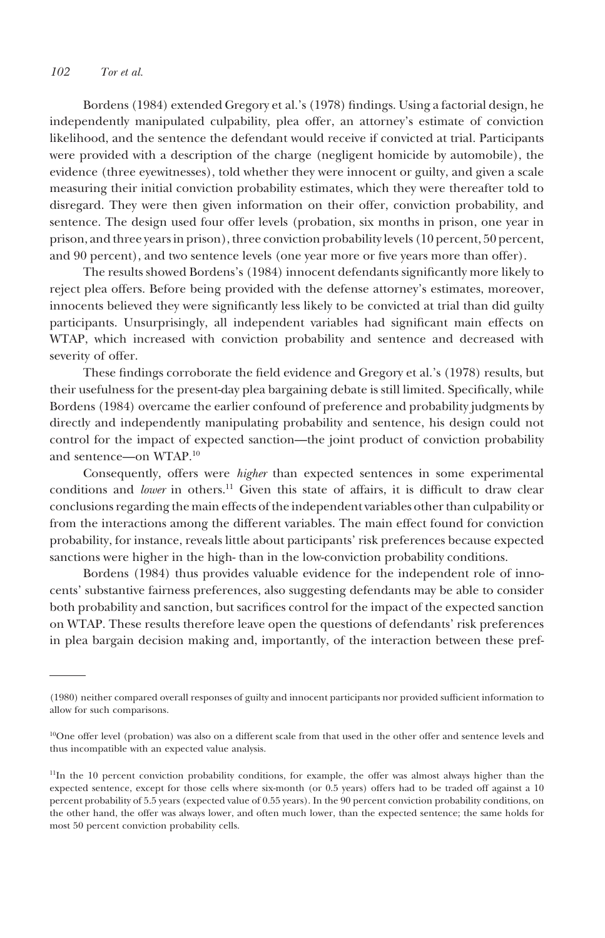### *102 Tor et al.*

Bordens (1984) extended Gregory et al.'s (1978) findings. Using a factorial design, he independently manipulated culpability, plea offer, an attorney's estimate of conviction likelihood, and the sentence the defendant would receive if convicted at trial. Participants were provided with a description of the charge (negligent homicide by automobile), the evidence (three eyewitnesses), told whether they were innocent or guilty, and given a scale measuring their initial conviction probability estimates, which they were thereafter told to disregard. They were then given information on their offer, conviction probability, and sentence. The design used four offer levels (probation, six months in prison, one year in prison, and three years in prison), three conviction probability levels (10 percent, 50 percent, and 90 percent), and two sentence levels (one year more or five years more than offer).

The results showed Bordens's (1984) innocent defendants significantly more likely to reject plea offers. Before being provided with the defense attorney's estimates, moreover, innocents believed they were significantly less likely to be convicted at trial than did guilty participants. Unsurprisingly, all independent variables had significant main effects on WTAP, which increased with conviction probability and sentence and decreased with severity of offer.

These findings corroborate the field evidence and Gregory et al.'s (1978) results, but their usefulness for the present-day plea bargaining debate is still limited. Specifically, while Bordens (1984) overcame the earlier confound of preference and probability judgments by directly and independently manipulating probability and sentence, his design could not control for the impact of expected sanction—the joint product of conviction probability and sentence—on WTAP.10

Consequently, offers were *higher* than expected sentences in some experimental conditions and *lower* in others.11 Given this state of affairs, it is difficult to draw clear conclusions regarding the main effects of the independent variables other than culpability or from the interactions among the different variables. The main effect found for conviction probability, for instance, reveals little about participants' risk preferences because expected sanctions were higher in the high- than in the low-conviction probability conditions.

Bordens (1984) thus provides valuable evidence for the independent role of innocents' substantive fairness preferences, also suggesting defendants may be able to consider both probability and sanction, but sacrifices control for the impact of the expected sanction on WTAP. These results therefore leave open the questions of defendants' risk preferences in plea bargain decision making and, importantly, of the interaction between these pref-

<sup>(1980)</sup> neither compared overall responses of guilty and innocent participants nor provided sufficient information to allow for such comparisons.

 $10$ One offer level (probation) was also on a different scale from that used in the other offer and sentence levels and thus incompatible with an expected value analysis.

<sup>&</sup>lt;sup>11</sup>In the 10 percent conviction probability conditions, for example, the offer was almost always higher than the expected sentence, except for those cells where six-month (or 0.5 years) offers had to be traded off against a 10 percent probability of 5.5 years (expected value of 0.55 years). In the 90 percent conviction probability conditions, on the other hand, the offer was always lower, and often much lower, than the expected sentence; the same holds for most 50 percent conviction probability cells.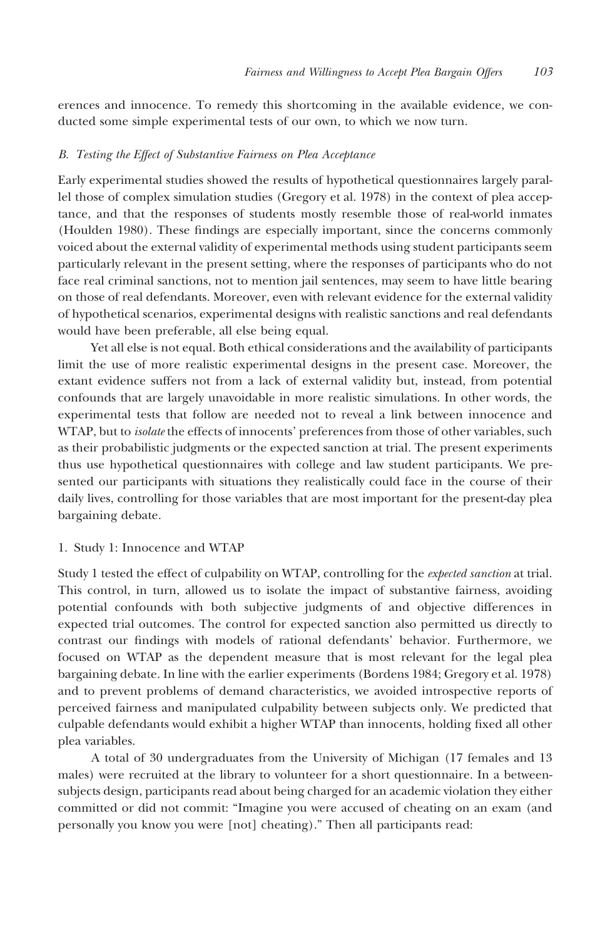erences and innocence. To remedy this shortcoming in the available evidence, we conducted some simple experimental tests of our own, to which we now turn.

### *B. Testing the Effect of Substantive Fairness on Plea Acceptance*

Early experimental studies showed the results of hypothetical questionnaires largely parallel those of complex simulation studies (Gregory et al. 1978) in the context of plea acceptance, and that the responses of students mostly resemble those of real-world inmates (Houlden 1980). These findings are especially important, since the concerns commonly voiced about the external validity of experimental methods using student participants seem particularly relevant in the present setting, where the responses of participants who do not face real criminal sanctions, not to mention jail sentences, may seem to have little bearing on those of real defendants. Moreover, even with relevant evidence for the external validity of hypothetical scenarios, experimental designs with realistic sanctions and real defendants would have been preferable, all else being equal.

Yet all else is not equal. Both ethical considerations and the availability of participants limit the use of more realistic experimental designs in the present case. Moreover, the extant evidence suffers not from a lack of external validity but, instead, from potential confounds that are largely unavoidable in more realistic simulations. In other words, the experimental tests that follow are needed not to reveal a link between innocence and WTAP, but to *isolate* the effects of innocents' preferences from those of other variables, such as their probabilistic judgments or the expected sanction at trial. The present experiments thus use hypothetical questionnaires with college and law student participants. We presented our participants with situations they realistically could face in the course of their daily lives, controlling for those variables that are most important for the present-day plea bargaining debate.

### 1. Study 1: Innocence and WTAP

Study 1 tested the effect of culpability on WTAP, controlling for the *expected sanction* at trial. This control, in turn, allowed us to isolate the impact of substantive fairness, avoiding potential confounds with both subjective judgments of and objective differences in expected trial outcomes. The control for expected sanction also permitted us directly to contrast our findings with models of rational defendants' behavior. Furthermore, we focused on WTAP as the dependent measure that is most relevant for the legal plea bargaining debate. In line with the earlier experiments (Bordens 1984; Gregory et al. 1978) and to prevent problems of demand characteristics, we avoided introspective reports of perceived fairness and manipulated culpability between subjects only. We predicted that culpable defendants would exhibit a higher WTAP than innocents, holding fixed all other plea variables.

A total of 30 undergraduates from the University of Michigan (17 females and 13 males) were recruited at the library to volunteer for a short questionnaire. In a betweensubjects design, participants read about being charged for an academic violation they either committed or did not commit: "Imagine you were accused of cheating on an exam (and personally you know you were [not] cheating)." Then all participants read: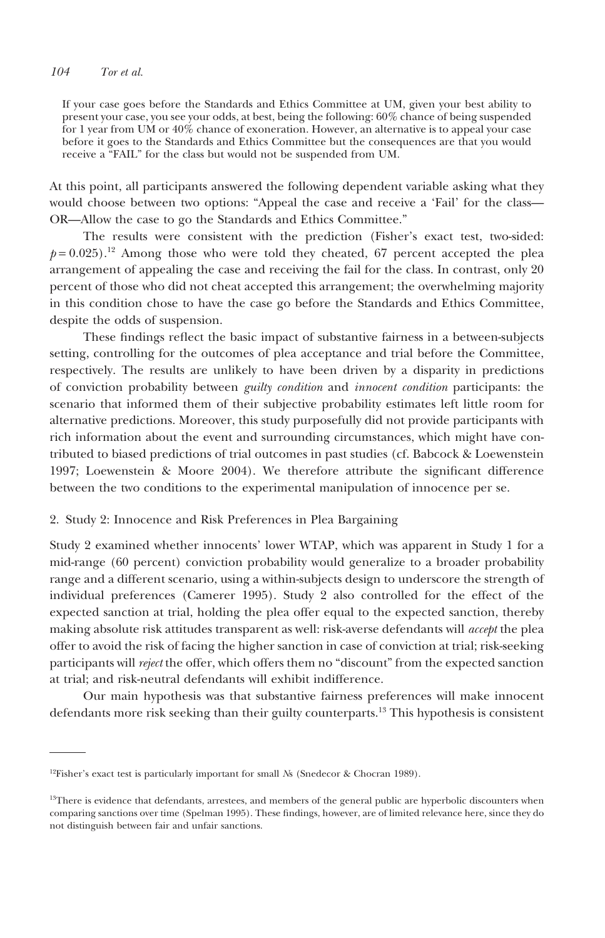### *104 Tor et al.*

If your case goes before the Standards and Ethics Committee at UM, given your best ability to present your case, you see your odds, at best, being the following: 60% chance of being suspended for 1 year from UM or 40% chance of exoneration. However, an alternative is to appeal your case before it goes to the Standards and Ethics Committee but the consequences are that you would receive a "FAIL" for the class but would not be suspended from UM.

At this point, all participants answered the following dependent variable asking what they would choose between two options: "Appeal the case and receive a 'Fail' for the class— OR—Allow the case to go the Standards and Ethics Committee."

The results were consistent with the prediction (Fisher's exact test, two-sided:  $p = 0.025$ .<sup>12</sup> Among those who were told they cheated, 67 percent accepted the plea arrangement of appealing the case and receiving the fail for the class. In contrast, only 20 percent of those who did not cheat accepted this arrangement; the overwhelming majority in this condition chose to have the case go before the Standards and Ethics Committee, despite the odds of suspension.

These findings reflect the basic impact of substantive fairness in a between-subjects setting, controlling for the outcomes of plea acceptance and trial before the Committee, respectively. The results are unlikely to have been driven by a disparity in predictions of conviction probability between *guilty condition* and *innocent condition* participants: the scenario that informed them of their subjective probability estimates left little room for alternative predictions. Moreover, this study purposefully did not provide participants with rich information about the event and surrounding circumstances, which might have contributed to biased predictions of trial outcomes in past studies (cf. Babcock & Loewenstein 1997; Loewenstein & Moore 2004). We therefore attribute the significant difference between the two conditions to the experimental manipulation of innocence per se.

### 2. Study 2: Innocence and Risk Preferences in Plea Bargaining

Study 2 examined whether innocents' lower WTAP, which was apparent in Study 1 for a mid-range (60 percent) conviction probability would generalize to a broader probability range and a different scenario, using a within-subjects design to underscore the strength of individual preferences (Camerer 1995). Study 2 also controlled for the effect of the expected sanction at trial, holding the plea offer equal to the expected sanction, thereby making absolute risk attitudes transparent as well: risk-averse defendants will *accept* the plea offer to avoid the risk of facing the higher sanction in case of conviction at trial; risk-seeking participants will *reject* the offer, which offers them no "discount" from the expected sanction at trial; and risk-neutral defendants will exhibit indifference.

Our main hypothesis was that substantive fairness preferences will make innocent defendants more risk seeking than their guilty counterparts.13 This hypothesis is consistent

<sup>12</sup>Fisher's exact test is particularly important for small *N*s (Snedecor & Chocran 1989).

<sup>&</sup>lt;sup>13</sup>There is evidence that defendants, arrestees, and members of the general public are hyperbolic discounters when comparing sanctions over time (Spelman 1995). These findings, however, are of limited relevance here, since they do not distinguish between fair and unfair sanctions.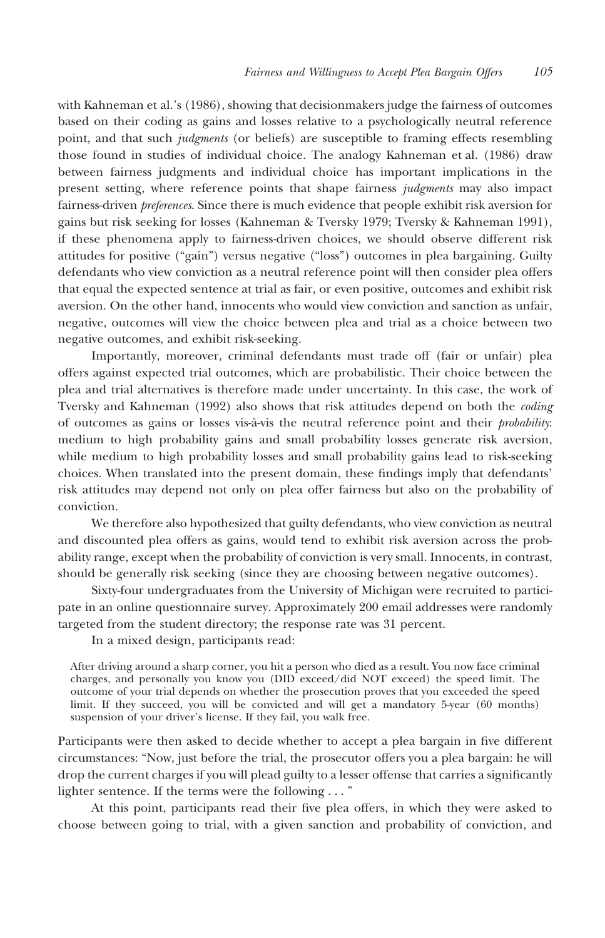with Kahneman et al.'s (1986), showing that decisionmakers judge the fairness of outcomes based on their coding as gains and losses relative to a psychologically neutral reference point, and that such *judgments* (or beliefs) are susceptible to framing effects resembling those found in studies of individual choice. The analogy Kahneman et al. (1986) draw between fairness judgments and individual choice has important implications in the present setting, where reference points that shape fairness *judgments* may also impact fairness-driven *preferences*. Since there is much evidence that people exhibit risk aversion for gains but risk seeking for losses (Kahneman & Tversky 1979; Tversky & Kahneman 1991), if these phenomena apply to fairness-driven choices, we should observe different risk attitudes for positive ("gain") versus negative ("loss") outcomes in plea bargaining. Guilty defendants who view conviction as a neutral reference point will then consider plea offers that equal the expected sentence at trial as fair, or even positive, outcomes and exhibit risk aversion. On the other hand, innocents who would view conviction and sanction as unfair, negative, outcomes will view the choice between plea and trial as a choice between two negative outcomes, and exhibit risk-seeking.

Importantly, moreover, criminal defendants must trade off (fair or unfair) plea offers against expected trial outcomes, which are probabilistic. Their choice between the plea and trial alternatives is therefore made under uncertainty. In this case, the work of Tversky and Kahneman (1992) also shows that risk attitudes depend on both the *coding* of outcomes as gains or losses vis-à-vis the neutral reference point and their *probability*: medium to high probability gains and small probability losses generate risk aversion, while medium to high probability losses and small probability gains lead to risk-seeking choices. When translated into the present domain, these findings imply that defendants' risk attitudes may depend not only on plea offer fairness but also on the probability of conviction.

We therefore also hypothesized that guilty defendants, who view conviction as neutral and discounted plea offers as gains, would tend to exhibit risk aversion across the probability range, except when the probability of conviction is very small. Innocents, in contrast, should be generally risk seeking (since they are choosing between negative outcomes).

Sixty-four undergraduates from the University of Michigan were recruited to participate in an online questionnaire survey. Approximately 200 email addresses were randomly targeted from the student directory; the response rate was 31 percent.

In a mixed design, participants read:

After driving around a sharp corner, you hit a person who died as a result. You now face criminal charges, and personally you know you (DID exceed/did NOT exceed) the speed limit. The outcome of your trial depends on whether the prosecution proves that you exceeded the speed limit. If they succeed, you will be convicted and will get a mandatory 5-year (60 months) suspension of your driver's license. If they fail, you walk free.

Participants were then asked to decide whether to accept a plea bargain in five different circumstances: "Now, just before the trial, the prosecutor offers you a plea bargain: he will drop the current charges if you will plead guilty to a lesser offense that carries a significantly lighter sentence. If the terms were the following ..."

At this point, participants read their five plea offers, in which they were asked to choose between going to trial, with a given sanction and probability of conviction, and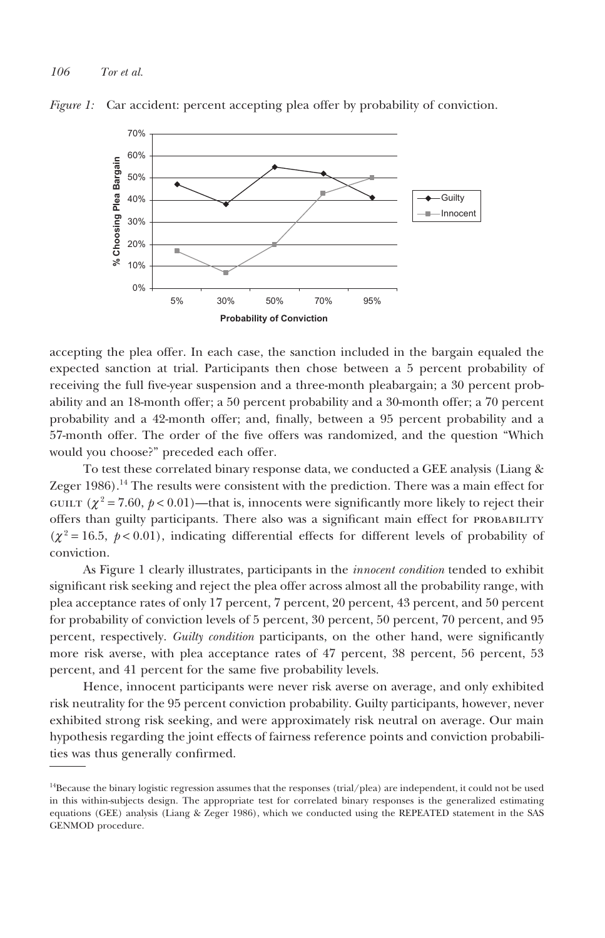

*Figure 1:* Car accident: percent accepting plea offer by probability of conviction.

accepting the plea offer. In each case, the sanction included in the bargain equaled the expected sanction at trial. Participants then chose between a 5 percent probability of receiving the full five-year suspension and a three-month pleabargain; a 30 percent probability and an 18-month offer; a 50 percent probability and a 30-month offer; a 70 percent probability and a 42-month offer; and, finally, between a 95 percent probability and a 57-month offer. The order of the five offers was randomized, and the question "Which would you choose?" preceded each offer.

To test these correlated binary response data, we conducted a GEE analysis (Liang & Zeger 1986).<sup>14</sup> The results were consistent with the prediction. There was a main effect for GUILT ( $\chi^2$  = 7.60,  $\phi$  < 0.01)—that is, innocents were significantly more likely to reject their offers than guilty participants. There also was a significant main effect for probability  $(\chi^2 = 16.5, \; p < 0.01)$ , indicating differential effects for different levels of probability of conviction.

As Figure 1 clearly illustrates, participants in the *innocent condition* tended to exhibit significant risk seeking and reject the plea offer across almost all the probability range, with plea acceptance rates of only 17 percent, 7 percent, 20 percent, 43 percent, and 50 percent for probability of conviction levels of 5 percent, 30 percent, 50 percent, 70 percent, and 95 percent, respectively. *Guilty condition* participants, on the other hand, were significantly more risk averse, with plea acceptance rates of 47 percent, 38 percent, 56 percent, 53 percent, and 41 percent for the same five probability levels.

Hence, innocent participants were never risk averse on average, and only exhibited risk neutrality for the 95 percent conviction probability. Guilty participants, however, never exhibited strong risk seeking, and were approximately risk neutral on average. Our main hypothesis regarding the joint effects of fairness reference points and conviction probabilities was thus generally confirmed.

 $14$ Because the binary logistic regression assumes that the responses (trial/plea) are independent, it could not be used in this within-subjects design. The appropriate test for correlated binary responses is the generalized estimating equations (GEE) analysis (Liang & Zeger 1986), which we conducted using the REPEATED statement in the SAS GENMOD procedure.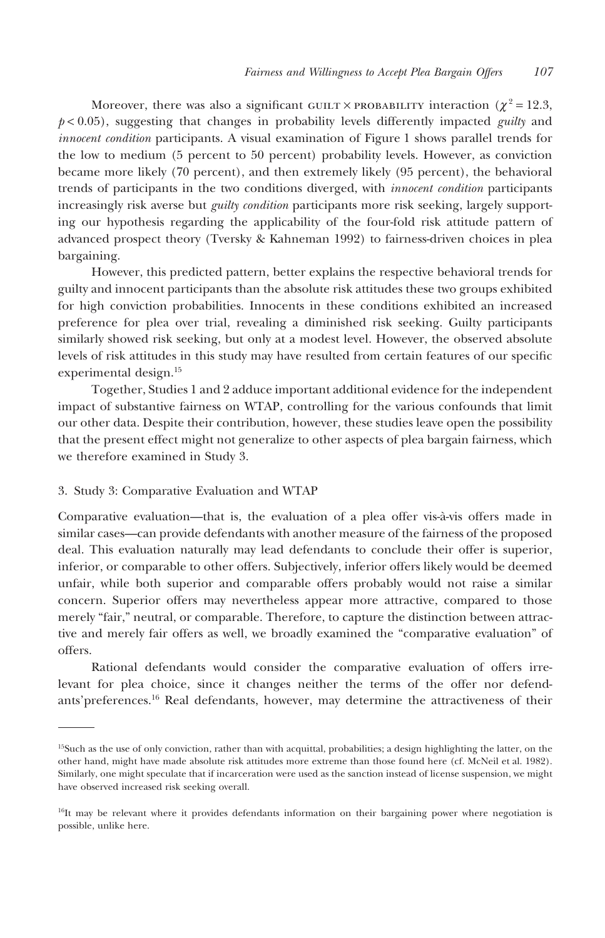Moreover, there was also a significant GUILT  $\times$  PROBABILITY interaction ( $\gamma^2 = 12.3$ ,  $p < 0.05$ ), suggesting that changes in probability levels differently impacted *guilty* and *innocent condition* participants. A visual examination of Figure 1 shows parallel trends for the low to medium (5 percent to 50 percent) probability levels. However, as conviction became more likely (70 percent), and then extremely likely (95 percent), the behavioral trends of participants in the two conditions diverged, with *innocent condition* participants increasingly risk averse but *guilty condition* participants more risk seeking, largely supporting our hypothesis regarding the applicability of the four-fold risk attitude pattern of advanced prospect theory (Tversky & Kahneman 1992) to fairness-driven choices in plea bargaining.

However, this predicted pattern, better explains the respective behavioral trends for guilty and innocent participants than the absolute risk attitudes these two groups exhibited for high conviction probabilities. Innocents in these conditions exhibited an increased preference for plea over trial, revealing a diminished risk seeking. Guilty participants similarly showed risk seeking, but only at a modest level. However, the observed absolute levels of risk attitudes in this study may have resulted from certain features of our specific experimental design.<sup>15</sup>

Together, Studies 1 and 2 adduce important additional evidence for the independent impact of substantive fairness on WTAP, controlling for the various confounds that limit our other data. Despite their contribution, however, these studies leave open the possibility that the present effect might not generalize to other aspects of plea bargain fairness, which we therefore examined in Study 3.

#### 3. Study 3: Comparative Evaluation and WTAP

Comparative evaluation—that is, the evaluation of a plea offer vis-à-vis offers made in similar cases—can provide defendants with another measure of the fairness of the proposed deal. This evaluation naturally may lead defendants to conclude their offer is superior, inferior, or comparable to other offers. Subjectively, inferior offers likely would be deemed unfair, while both superior and comparable offers probably would not raise a similar concern. Superior offers may nevertheless appear more attractive, compared to those merely "fair," neutral, or comparable. Therefore, to capture the distinction between attractive and merely fair offers as well, we broadly examined the "comparative evaluation" of offers.

Rational defendants would consider the comparative evaluation of offers irrelevant for plea choice, since it changes neither the terms of the offer nor defendants'preferences.16 Real defendants, however, may determine the attractiveness of their

<sup>&</sup>lt;sup>15</sup>Such as the use of only conviction, rather than with acquittal, probabilities; a design highlighting the latter, on the other hand, might have made absolute risk attitudes more extreme than those found here (cf. McNeil et al. 1982). Similarly, one might speculate that if incarceration were used as the sanction instead of license suspension, we might have observed increased risk seeking overall.

<sup>&</sup>lt;sup>16</sup>It may be relevant where it provides defendants information on their bargaining power where negotiation is possible, unlike here.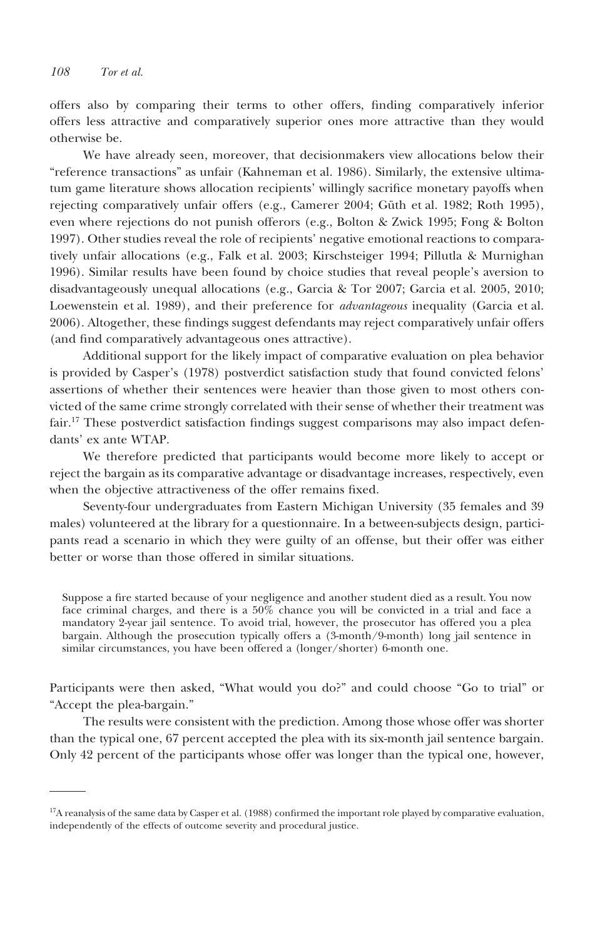offers also by comparing their terms to other offers, finding comparatively inferior offers less attractive and comparatively superior ones more attractive than they would otherwise be.

We have already seen, moreover, that decisionmakers view allocations below their "reference transactions" as unfair (Kahneman et al. 1986). Similarly, the extensive ultimatum game literature shows allocation recipients' willingly sacrifice monetary payoffs when rejecting comparatively unfair offers (e.g., Camerer 2004; Güth et al. 1982; Roth 1995), even where rejections do not punish offerors (e.g., Bolton & Zwick 1995; Fong & Bolton 1997). Other studies reveal the role of recipients' negative emotional reactions to comparatively unfair allocations (e.g., Falk et al. 2003; Kirschsteiger 1994; Pillutla & Murnighan 1996). Similar results have been found by choice studies that reveal people's aversion to disadvantageously unequal allocations (e.g., Garcia & Tor 2007; Garcia et al. 2005, 2010; Loewenstein et al. 1989), and their preference for *advantageous* inequality (Garcia et al. 2006). Altogether, these findings suggest defendants may reject comparatively unfair offers (and find comparatively advantageous ones attractive).

Additional support for the likely impact of comparative evaluation on plea behavior is provided by Casper's (1978) postverdict satisfaction study that found convicted felons' assertions of whether their sentences were heavier than those given to most others convicted of the same crime strongly correlated with their sense of whether their treatment was fair.17 These postverdict satisfaction findings suggest comparisons may also impact defendants' ex ante WTAP.

We therefore predicted that participants would become more likely to accept or reject the bargain as its comparative advantage or disadvantage increases, respectively, even when the objective attractiveness of the offer remains fixed.

Seventy-four undergraduates from Eastern Michigan University (35 females and 39 males) volunteered at the library for a questionnaire. In a between-subjects design, participants read a scenario in which they were guilty of an offense, but their offer was either better or worse than those offered in similar situations.

Suppose a fire started because of your negligence and another student died as a result. You now face criminal charges, and there is a 50% chance you will be convicted in a trial and face a mandatory 2-year jail sentence. To avoid trial, however, the prosecutor has offered you a plea bargain. Although the prosecution typically offers a (3-month/9-month) long jail sentence in similar circumstances, you have been offered a (longer/shorter) 6-month one.

Participants were then asked, "What would you do?" and could choose "Go to trial" or "Accept the plea-bargain."

The results were consistent with the prediction. Among those whose offer was shorter than the typical one, 67 percent accepted the plea with its six-month jail sentence bargain. Only 42 percent of the participants whose offer was longer than the typical one, however,

 $17A$  reanalysis of the same data by Casper et al. (1988) confirmed the important role played by comparative evaluation, independently of the effects of outcome severity and procedural justice.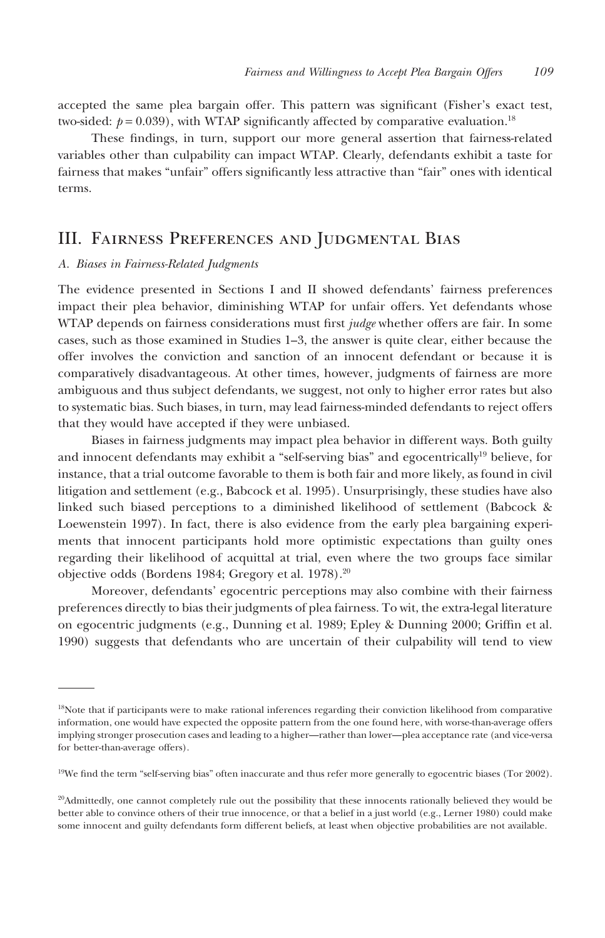accepted the same plea bargain offer. This pattern was significant (Fisher's exact test, two-sided:  $p = 0.039$ ), with WTAP significantly affected by comparative evaluation.<sup>18</sup>

These findings, in turn, support our more general assertion that fairness-related variables other than culpability can impact WTAP. Clearly, defendants exhibit a taste for fairness that makes "unfair" offers significantly less attractive than "fair" ones with identical terms.

# III. Fairness Preferences and Judgmental Bias

### *A. Biases in Fairness-Related Judgments*

The evidence presented in Sections I and II showed defendants' fairness preferences impact their plea behavior, diminishing WTAP for unfair offers. Yet defendants whose WTAP depends on fairness considerations must first *judge* whether offers are fair. In some cases, such as those examined in Studies 1–3, the answer is quite clear, either because the offer involves the conviction and sanction of an innocent defendant or because it is comparatively disadvantageous. At other times, however, judgments of fairness are more ambiguous and thus subject defendants, we suggest, not only to higher error rates but also to systematic bias. Such biases, in turn, may lead fairness-minded defendants to reject offers that they would have accepted if they were unbiased.

Biases in fairness judgments may impact plea behavior in different ways. Both guilty and innocent defendants may exhibit a "self-serving bias" and egocentrically19 believe, for instance, that a trial outcome favorable to them is both fair and more likely, as found in civil litigation and settlement (e.g., Babcock et al. 1995). Unsurprisingly, these studies have also linked such biased perceptions to a diminished likelihood of settlement (Babcock & Loewenstein 1997). In fact, there is also evidence from the early plea bargaining experiments that innocent participants hold more optimistic expectations than guilty ones regarding their likelihood of acquittal at trial, even where the two groups face similar objective odds (Bordens 1984; Gregory et al. 1978).20

Moreover, defendants' egocentric perceptions may also combine with their fairness preferences directly to bias their judgments of plea fairness. To wit, the extra-legal literature on egocentric judgments (e.g., Dunning et al. 1989; Epley & Dunning 2000; Griffin et al. 1990) suggests that defendants who are uncertain of their culpability will tend to view

<sup>&</sup>lt;sup>18</sup>Note that if participants were to make rational inferences regarding their conviction likelihood from comparative information, one would have expected the opposite pattern from the one found here, with worse-than-average offers implying stronger prosecution cases and leading to a higher—rather than lower—plea acceptance rate (and vice-versa for better-than-average offers).

<sup>19</sup>We find the term "self-serving bias" often inaccurate and thus refer more generally to egocentric biases (Tor 2002).

<sup>&</sup>lt;sup>20</sup>Admittedly, one cannot completely rule out the possibility that these innocents rationally believed they would be better able to convince others of their true innocence, or that a belief in a just world (e.g., Lerner 1980) could make some innocent and guilty defendants form different beliefs, at least when objective probabilities are not available.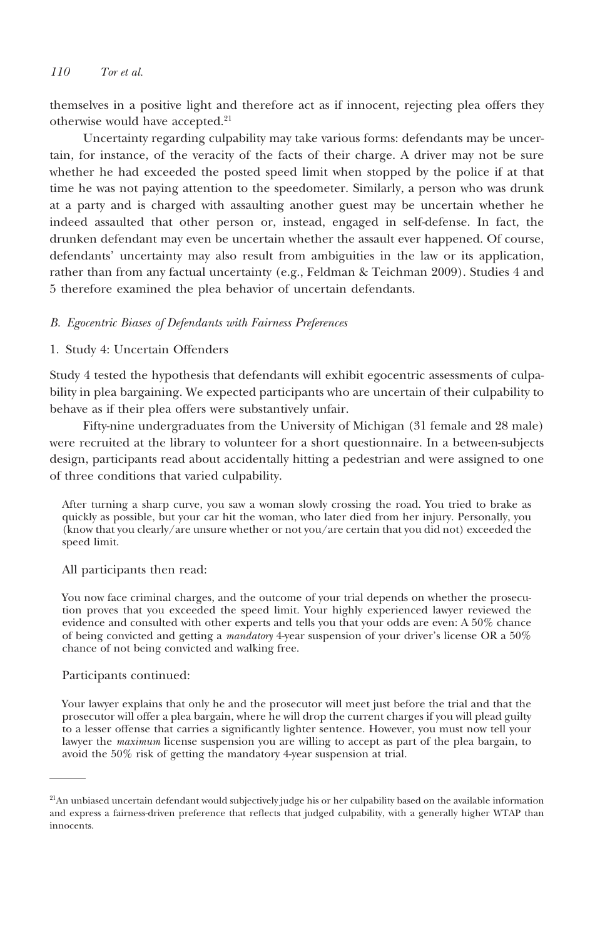### *110 Tor et al.*

themselves in a positive light and therefore act as if innocent, rejecting plea offers they otherwise would have accepted.<sup>21</sup>

Uncertainty regarding culpability may take various forms: defendants may be uncertain, for instance, of the veracity of the facts of their charge. A driver may not be sure whether he had exceeded the posted speed limit when stopped by the police if at that time he was not paying attention to the speedometer. Similarly, a person who was drunk at a party and is charged with assaulting another guest may be uncertain whether he indeed assaulted that other person or, instead, engaged in self-defense. In fact, the drunken defendant may even be uncertain whether the assault ever happened. Of course, defendants' uncertainty may also result from ambiguities in the law or its application, rather than from any factual uncertainty (e.g., Feldman & Teichman 2009). Studies 4 and 5 therefore examined the plea behavior of uncertain defendants.

### *B. Egocentric Biases of Defendants with Fairness Preferences*

### 1. Study 4: Uncertain Offenders

Study 4 tested the hypothesis that defendants will exhibit egocentric assessments of culpability in plea bargaining. We expected participants who are uncertain of their culpability to behave as if their plea offers were substantively unfair.

Fifty-nine undergraduates from the University of Michigan (31 female and 28 male) were recruited at the library to volunteer for a short questionnaire. In a between-subjects design, participants read about accidentally hitting a pedestrian and were assigned to one of three conditions that varied culpability.

After turning a sharp curve, you saw a woman slowly crossing the road. You tried to brake as quickly as possible, but your car hit the woman, who later died from her injury. Personally, you (know that you clearly/are unsure whether or not you/are certain that you did not) exceeded the speed limit.

### All participants then read:

You now face criminal charges, and the outcome of your trial depends on whether the prosecution proves that you exceeded the speed limit. Your highly experienced lawyer reviewed the evidence and consulted with other experts and tells you that your odds are even: A 50% chance of being convicted and getting a *mandatory* 4-year suspension of your driver's license OR a 50% chance of not being convicted and walking free.

### Participants continued:

Your lawyer explains that only he and the prosecutor will meet just before the trial and that the prosecutor will offer a plea bargain, where he will drop the current charges if you will plead guilty to a lesser offense that carries a significantly lighter sentence. However, you must now tell your lawyer the *maximum* license suspension you are willing to accept as part of the plea bargain, to avoid the 50% risk of getting the mandatory 4-year suspension at trial.

 $21$ An unbiased uncertain defendant would subjectively judge his or her culpability based on the available information and express a fairness-driven preference that reflects that judged culpability, with a generally higher WTAP than innocents.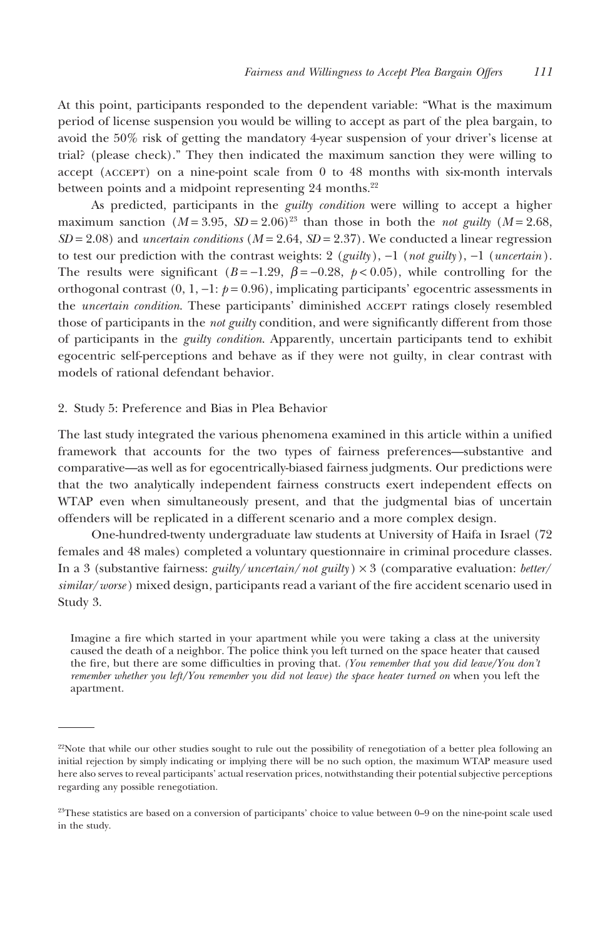At this point, participants responded to the dependent variable: "What is the maximum period of license suspension you would be willing to accept as part of the plea bargain, to avoid the 50% risk of getting the mandatory 4-year suspension of your driver's license at trial? (please check)." They then indicated the maximum sanction they were willing to accept (accept) on a nine-point scale from 0 to 48 months with six-month intervals between points and a midpoint representing 24 months.<sup>22</sup>

As predicted, participants in the *guilty condition* were willing to accept a higher maximum sanction  $(M=3.95, SD=2.06)^{23}$  than those in both the *not guilty*  $(M=2.68,$ *SD* = 2.08) and *uncertain conditions* (*M* = 2.64, *SD* = 2.37). We conducted a linear regression to test our prediction with the contrast weights: 2 (*guilty* ), -1 (*not guilty* ), -1 (*uncertain* ). The results were significant ( $B = -1.29$ ,  $\beta = -0.28$ ,  $p < 0.05$ ), while controlling for the orthogonal contrast  $(0, 1, -1; p = 0.96)$ , implicating participants' egocentric assessments in the *uncertain condition*. These participants' diminished ACCEPT ratings closely resembled those of participants in the *not guilty* condition, and were significantly different from those of participants in the *guilty condition*. Apparently, uncertain participants tend to exhibit egocentric self-perceptions and behave as if they were not guilty, in clear contrast with models of rational defendant behavior.

### 2. Study 5: Preference and Bias in Plea Behavior

The last study integrated the various phenomena examined in this article within a unified framework that accounts for the two types of fairness preferences—substantive and comparative—as well as for egocentrically-biased fairness judgments. Our predictions were that the two analytically independent fairness constructs exert independent effects on WTAP even when simultaneously present, and that the judgmental bias of uncertain offenders will be replicated in a different scenario and a more complex design.

One-hundred-twenty undergraduate law students at University of Haifa in Israel (72 females and 48 males) completed a voluntary questionnaire in criminal procedure classes. In a 3 (substantive fairness: *guilty*/*uncertain*/*not guilty*)  $\times$  3 (comparative evaluation: *better*/ *similar*/*worse* ) mixed design, participants read a variant of the fire accident scenario used in Study 3.

Imagine a fire which started in your apartment while you were taking a class at the university caused the death of a neighbor. The police think you left turned on the space heater that caused the fire, but there are some difficulties in proving that. *(You remember that you did leave/You don't remember whether you left/You remember you did not leave) the space heater turned on* when you left the apartment.

<sup>&</sup>lt;sup>22</sup>Note that while our other studies sought to rule out the possibility of renegotiation of a better plea following an initial rejection by simply indicating or implying there will be no such option, the maximum WTAP measure used here also serves to reveal participants' actual reservation prices, notwithstanding their potential subjective perceptions regarding any possible renegotiation.

<sup>&</sup>lt;sup>23</sup>These statistics are based on a conversion of participants' choice to value between 0–9 on the nine-point scale used in the study.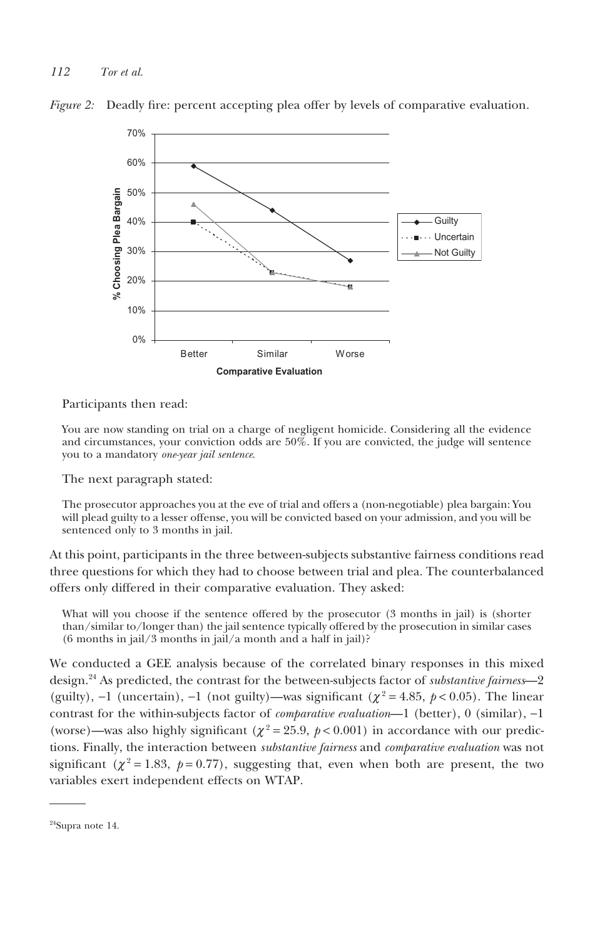

*Figure 2:* Deadly fire: percent accepting plea offer by levels of comparative evaluation.

Participants then read:

You are now standing on trial on a charge of negligent homicide. Considering all the evidence and circumstances, your conviction odds are 50%. If you are convicted, the judge will sentence you to a mandatory *one-year jail sentence*.

The next paragraph stated:

The prosecutor approaches you at the eve of trial and offers a (non-negotiable) plea bargain: You will plead guilty to a lesser offense, you will be convicted based on your admission, and you will be sentenced only to 3 months in jail.

At this point, participants in the three between-subjects substantive fairness conditions read three questions for which they had to choose between trial and plea. The counterbalanced offers only differed in their comparative evaluation. They asked:

What will you choose if the sentence offered by the prosecutor (3 months in jail) is (shorter than/similar to/longer than) the jail sentence typically offered by the prosecution in similar cases (6 months in jail/3 months in jail/a month and a half in jail)?

We conducted a GEE analysis because of the correlated binary responses in this mixed design.24 As predicted, the contrast for the between-subjects factor of *substantive fairness*—2 (guilty),  $-1$  (uncertain),  $-1$  (not guilty)—was significant ( $\chi^2 = 4.85$ ,  $p < 0.05$ ). The linear contrast for the within-subjects factor of *comparative evaluation*—1 (better), 0 (similar), -1 (worse)—was also highly significant ( $\chi^2$  = 25.9,  $\phi$  < 0.001) in accordance with our predictions. Finally, the interaction between *substantive fairness* and *comparative evaluation* was not significant  $(\chi^2 = 1.83, p = 0.77)$ , suggesting that, even when both are present, the two variables exert independent effects on WTAP.

<sup>24</sup>Supra note 14.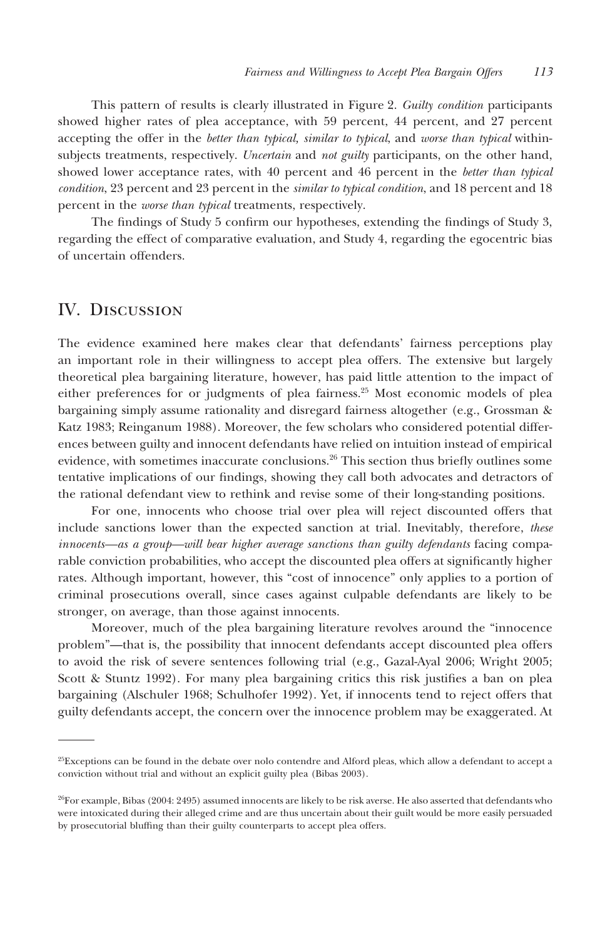This pattern of results is clearly illustrated in Figure 2. *Guilty condition* participants showed higher rates of plea acceptance, with 59 percent, 44 percent, and 27 percent accepting the offer in the *better than typical, similar to typical*, and *worse than typical* withinsubjects treatments, respectively. *Uncertain* and *not guilty* participants, on the other hand, showed lower acceptance rates, with 40 percent and 46 percent in the *better than typical condition*, 23 percent and 23 percent in the *similar to typical condition*, and 18 percent and 18 percent in the *worse than typical* treatments, respectively.

The findings of Study 5 confirm our hypotheses, extending the findings of Study 3, regarding the effect of comparative evaluation, and Study 4, regarding the egocentric bias of uncertain offenders.

## IV. Discussion

The evidence examined here makes clear that defendants' fairness perceptions play an important role in their willingness to accept plea offers. The extensive but largely theoretical plea bargaining literature, however, has paid little attention to the impact of either preferences for or judgments of plea fairness.25 Most economic models of plea bargaining simply assume rationality and disregard fairness altogether (e.g., Grossman & Katz 1983; Reinganum 1988). Moreover, the few scholars who considered potential differences between guilty and innocent defendants have relied on intuition instead of empirical evidence, with sometimes inaccurate conclusions.26 This section thus briefly outlines some tentative implications of our findings, showing they call both advocates and detractors of the rational defendant view to rethink and revise some of their long-standing positions.

For one, innocents who choose trial over plea will reject discounted offers that include sanctions lower than the expected sanction at trial. Inevitably, therefore, *these innocents—as a group—will bear higher average sanctions than guilty defendants* facing comparable conviction probabilities, who accept the discounted plea offers at significantly higher rates. Although important, however, this "cost of innocence" only applies to a portion of criminal prosecutions overall, since cases against culpable defendants are likely to be stronger, on average, than those against innocents.

Moreover, much of the plea bargaining literature revolves around the "innocence problem"—that is, the possibility that innocent defendants accept discounted plea offers to avoid the risk of severe sentences following trial (e.g., Gazal-Ayal 2006; Wright 2005; Scott & Stuntz 1992). For many plea bargaining critics this risk justifies a ban on plea bargaining (Alschuler 1968; Schulhofer 1992). Yet, if innocents tend to reject offers that guilty defendants accept, the concern over the innocence problem may be exaggerated. At

<sup>&</sup>lt;sup>25</sup>Exceptions can be found in the debate over nolo contendre and Alford pleas, which allow a defendant to accept a conviction without trial and without an explicit guilty plea (Bibas 2003).

 $26$ For example, Bibas (2004: 2495) assumed innocents are likely to be risk averse. He also asserted that defendants who were intoxicated during their alleged crime and are thus uncertain about their guilt would be more easily persuaded by prosecutorial bluffing than their guilty counterparts to accept plea offers.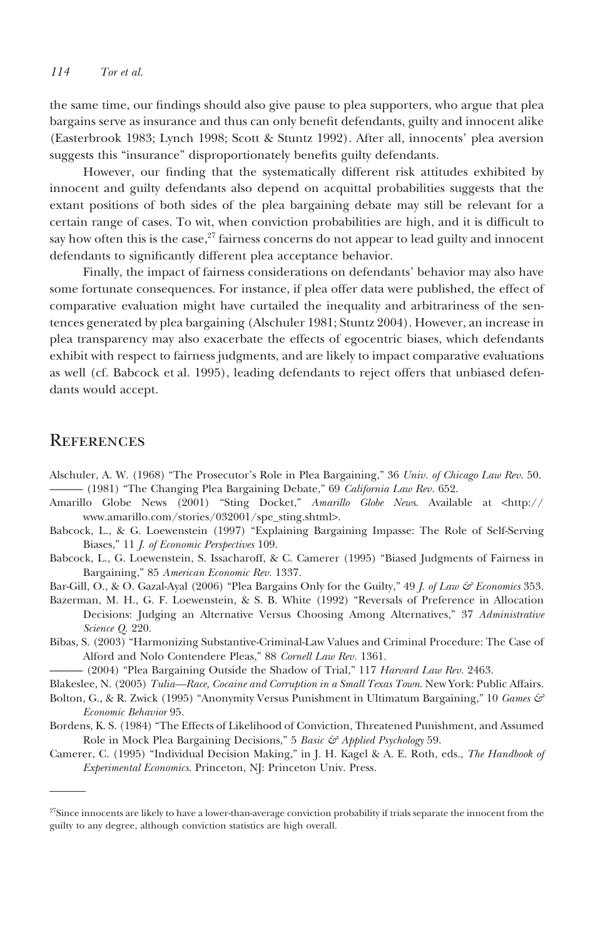the same time, our findings should also give pause to plea supporters, who argue that plea bargains serve as insurance and thus can only benefit defendants, guilty and innocent alike (Easterbrook 1983; Lynch 1998; Scott & Stuntz 1992). After all, innocents' plea aversion suggests this "insurance" disproportionately benefits guilty defendants.

However, our finding that the systematically different risk attitudes exhibited by innocent and guilty defendants also depend on acquittal probabilities suggests that the extant positions of both sides of the plea bargaining debate may still be relevant for a certain range of cases. To wit, when conviction probabilities are high, and it is difficult to say how often this is the case, $27$  fairness concerns do not appear to lead guilty and innocent defendants to significantly different plea acceptance behavior.

Finally, the impact of fairness considerations on defendants' behavior may also have some fortunate consequences. For instance, if plea offer data were published, the effect of comparative evaluation might have curtailed the inequality and arbitrariness of the sentences generated by plea bargaining (Alschuler 1981; Stuntz 2004). However, an increase in plea transparency may also exacerbate the effects of egocentric biases, which defendants exhibit with respect to fairness judgments, and are likely to impact comparative evaluations as well (cf. Babcock et al. 1995), leading defendants to reject offers that unbiased defendants would accept.

### **REFERENCES**

- Alschuler, A. W. (1968) "The Prosecutor's Role in Plea Bargaining," 36 *Univ. of Chicago Law Rev.* 50. ——— (1981) "The Changing Plea Bargaining Debate," 69 *California Law Rev.* 652.
- Amarillo Globe News (2001) "Sting Docket," *Amarillo Globe News*. Available at <http:// www.amarillo.com/stories/032001/spe\_sting.shtml>.
- Babcock, L., & G. Loewenstein (1997) "Explaining Bargaining Impasse: The Role of Self-Serving Biases," 11 *J. of Economic Perspectives* 109.
- Babcock, L., G. Loewenstein, S. Issacharoff, & C. Camerer (1995) "Biased Judgments of Fairness in Bargaining," 85 *American Economic Rev.* 1337.

Bar-Gill, O., & O. Gazal-Ayal (2006) "Plea Bargains Only for the Guilty," 49 *J. of Law & Economics* 353.

Bazerman, M. H., G. F. Loewenstein, & S. B. White (1992) "Reversals of Preference in Allocation Decisions: Judging an Alternative Versus Choosing Among Alternatives," 37 *Administrative Science Q.* 220.

Bibas, S. (2003) "Harmonizing Substantive-Criminal-Law Values and Criminal Procedure: The Case of Alford and Nolo Contendere Pleas," 88 *Cornell Law Rev.* 1361.

——— (2004) "Plea Bargaining Outside the Shadow of Trial," 117 *Harvard Law Rev.* 2463.

Blakeslee, N. (2005) *Tulia—Race, Cocaine and Corruption in a Small Texas Town*. New York: Public Affairs.

- Bolton, G., & R. Zwick (1995) "Anonymity Versus Punishment in Ultimatum Bargaining," 10 *Games & Economic Behavior* 95.
- Bordens, K. S. (1984) "The Effects of Likelihood of Conviction, Threatened Punishment, and Assumed Role in Mock Plea Bargaining Decisions," 5 *Basic & Applied Psychology* 59.
- Camerer, C. (1995) "Individual Decision Making," in J. H. Kagel & A. E. Roth, eds., *The Handbook of Experimental Economics*. Princeton, NJ: Princeton Univ. Press.

<sup>&</sup>lt;sup>27</sup>Since innocents are likely to have a lower-than-average conviction probability if trials separate the innocent from the guilty to any degree, although conviction statistics are high overall.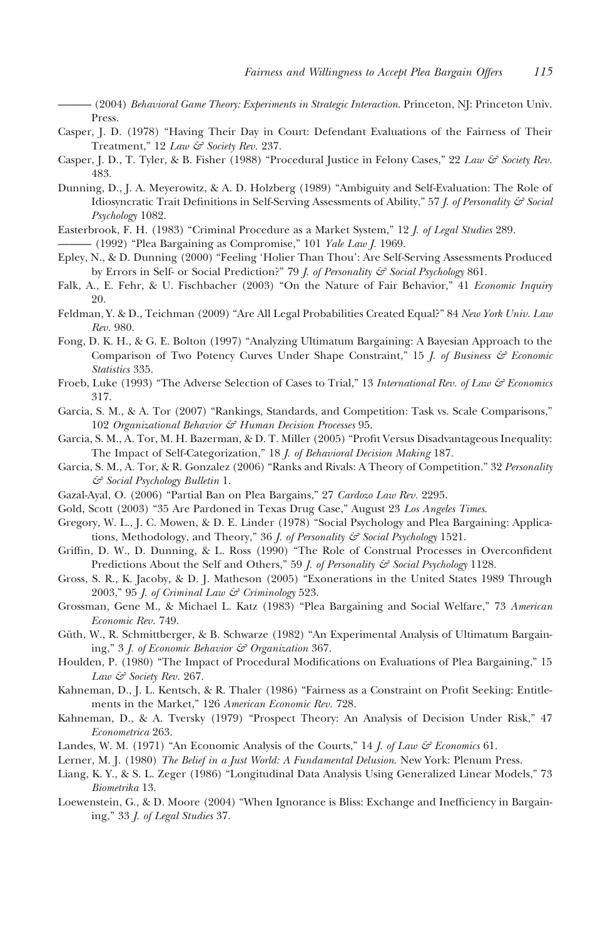- ——— (2004) *Behavioral Game Theory: Experiments in Strategic Interaction*. Princeton, NJ: Princeton Univ. Press.
- Casper, J. D. (1978) "Having Their Day in Court: Defendant Evaluations of the Fairness of Their Treatment," 12 *Law & Society Rev.* 237.
- Casper, J. D., T. Tyler, & B. Fisher (1988) "Procedural Justice in Felony Cases," 22 *Law & Society Rev.* 483.
- Dunning, D., J. A. Meyerowitz, & A. D. Holzberg (1989) "Ambiguity and Self-Evaluation: The Role of Idiosyncratic Trait Definitions in Self-Serving Assessments of Ability," 57 *J. of Personality & Social Psychology* 1082.
- Easterbrook, F. H. (1983) "Criminal Procedure as a Market System," 12 *J. of Legal Studies* 289.

——— (1992) "Plea Bargaining as Compromise," 101 *Yale Law J.* 1969.

- Epley, N., & D. Dunning (2000) "Feeling 'Holier Than Thou': Are Self-Serving Assessments Produced by Errors in Self- or Social Prediction?" 79 *J. of Personality & Social Psychology* 861.
- Falk, A., E. Fehr, & U. Fischbacher (2003) "On the Nature of Fair Behavior," 41 *Economic Inquiry* 20.
- Feldman, Y. & D., Teichman (2009) "Are All Legal Probabilities Created Equal?" 84 *New York Univ. Law Rev.* 980.
- Fong, D. K. H., & G. E. Bolton (1997) "Analyzing Ultimatum Bargaining: A Bayesian Approach to the Comparison of Two Potency Curves Under Shape Constraint," 15 *J. of Business & Economic Statistics* 335.
- Froeb, Luke (1993) "The Adverse Selection of Cases to Trial," 13 *International Rev. of Law & Economics* 317.
- Garcia, S. M., & A. Tor (2007) "Rankings, Standards, and Competition: Task vs. Scale Comparisons," 102 *Organizational Behavior & Human Decision Processes* 95.
- Garcia, S. M., A. Tor, M. H. Bazerman, & D. T. Miller (2005) "Profit Versus Disadvantageous Inequality: The Impact of Self-Categorization," 18 *J. of Behavioral Decision Making* 187.
- Garcia, S. M., A. Tor, & R. Gonzalez (2006) "Ranks and Rivals: A Theory of Competition." 32 *Personality & Social Psychology Bulletin* 1.
- Gazal-Ayal, O. (2006) "Partial Ban on Plea Bargains," 27 *Cardozo Law Rev.* 2295.
- Gold, Scott (2003) "35 Are Pardoned in Texas Drug Case," August 23 *Los Angeles Times*.
- Gregory, W. L., J. C. Mowen, & D. E. Linder (1978) "Social Psychology and Plea Bargaining: Applications, Methodology, and Theory," 36 *J. of Personality & Social Psychology* 1521.
- Griffin, D. W., D. Dunning, & L. Ross (1990) "The Role of Construal Processes in Overconfident Predictions About the Self and Others," 59 *J. of Personality & Social Psychology* 1128.
- Gross, S. R., K. Jacoby, & D. J. Matheson (2005) "Exonerations in the United States 1989 Through 2003," 95 *J. of Criminal Law & Criminology* 523.
- Grossman, Gene M., & Michael L. Katz (1983) "Plea Bargaining and Social Welfare," 73 *American Economic Rev.* 749.
- Güth, W., R. Schmittberger, & B. Schwarze (1982) "An Experimental Analysis of Ultimatum Bargaining," 3 *J. of Economic Behavior & Organization* 367.
- Houlden, P. (1980) "The Impact of Procedural Modifications on Evaluations of Plea Bargaining," 15 *Law & Society Rev.* 267.
- Kahneman, D., J. L. Kentsch, & R. Thaler (1986) "Fairness as a Constraint on Profit Seeking: Entitlements in the Market," 126 *American Economic Rev.* 728.
- Kahneman, D., & A. Tversky (1979) "Prospect Theory: An Analysis of Decision Under Risk," 47 *Econometrica* 263.
- Landes, W. M. (1971) "An Economic Analysis of the Courts," 14 *J. of Law & Economics* 61.
- Lerner, M. J. (1980) *The Belief in a Just World: A Fundamental Delusion*. New York: Plenum Press.
- Liang, K. Y., & S. L. Zeger (1986) "Longitudinal Data Analysis Using Generalized Linear Models," 73 *Biometrika* 13.
- Loewenstein, G., & D. Moore (2004) "When Ignorance is Bliss: Exchange and Inefficiency in Bargaining," 33 *J. of Legal Studies* 37.